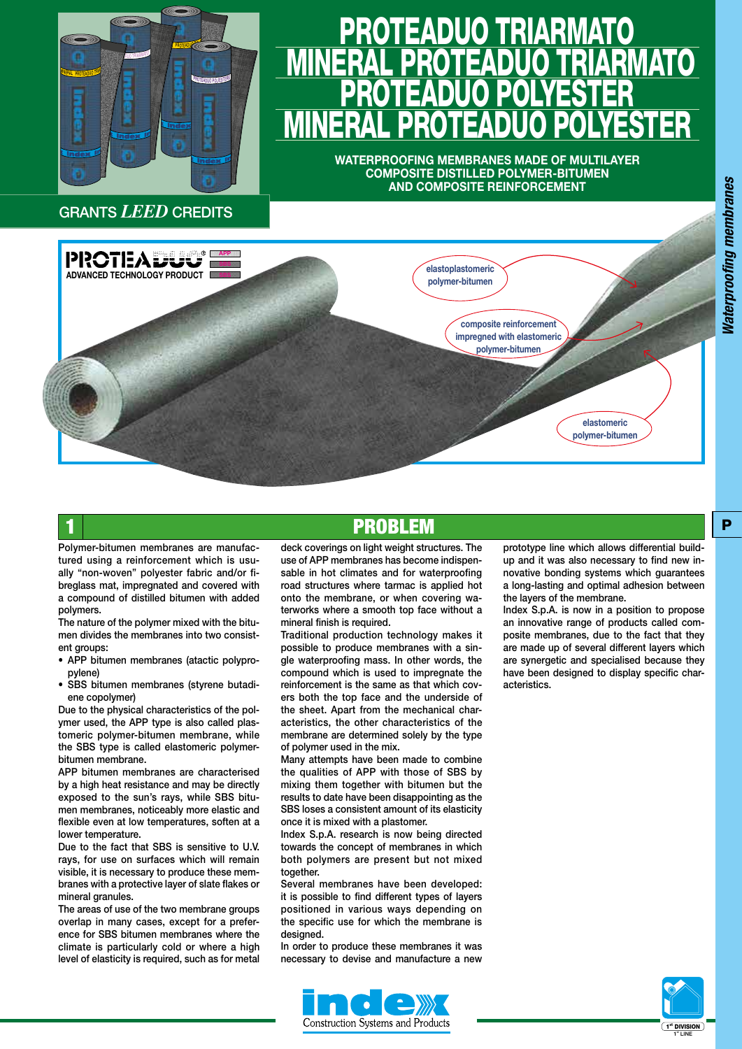

# <u>PROTEADUO TRIARMATO</u> <u>MINERAL PROTEADUO TRIARMATO</u> <u>PROTEADUO POLYESTER</u> <u>MINERAL PROTEADUO POLYESTER</u>

**WATERPROOFING MEMBRANES MADE OF MULTILAYER COMPOSITE DISTILLED POLYMER-BITUMEN AND COMPOSITE REINFORCEMENT**



### **PROBLEM**

Polymer-bitumen membranes are manufactured using a reinforcement which is usually "non-woven" polyester fabric and/or fibreglass mat, impregnated and covered with a compound of distilled bitumen with added polymers.

The nature of the polymer mixed with the bitumen divides the membranes into two consistent groups:

- APP bitumen membranes (atactic polypropylene)
- SBS bitumen membranes (styrene butadiene copolymer)

Due to the physical characteristics of the polymer used, the APP type is also called plastomeric polymer-bitumen membrane, while the SBS type is called elastomeric polymerbitumen membrane.

APP bitumen membranes are characterised by a high heat resistance and may be directly exposed to the sun's rays, while SBS bitumen membranes, noticeably more elastic and flexible even at low temperatures, soften at a lower temperature.

Due to the fact that SBS is sensitive to U.V. rays, for use on surfaces which will remain visible, it is necessary to produce these membranes with a protective layer of slate flakes or mineral granules.

The areas of use of the two membrane groups overlap in many cases, except for a preference for SBS bitumen membranes where the climate is particularly cold or where a high level of elasticity is required, such as for metal

deck coverings on light weight structures. The use of APP membranes has become indispensable in hot climates and for waterproofing road structures where tarmac is applied hot onto the membrane, or when covering waterworks where a smooth top face without a mineral finish is required.

Traditional production technology makes it possible to produce membranes with a single waterproofing mass. In other words, the compound which is used to impregnate the reinforcement is the same as that which covers both the top face and the underside of the sheet. Apart from the mechanical characteristics, the other characteristics of the membrane are determined solely by the type of polymer used in the mix.

Many attempts have been made to combine the qualities of APP with those of SBS by mixing them together with bitumen but the results to date have been disappointing as the SBS loses a consistent amount of its elasticity once it is mixed with a plastomer.

Index S.p.A. research is now being directed towards the concept of membranes in which both polymers are present but not mixed together.

Several membranes have been developed: it is possible to find different types of layers positioned in various ways depending on the specific use for which the membrane is designed.

In order to produce these membranes it was necessary to devise and manufacture a new



prototype line which allows differential buildup and it was also necessary to find new innovative bonding systems which guarantees a long-lasting and optimal adhesion between the layers of the membrane.

Index S.p.A. is now in a position to propose an innovative range of products called composite membranes, due to the fact that they are made up of several different layers which are synergetic and specialised because they have been designed to display specific characteristics.

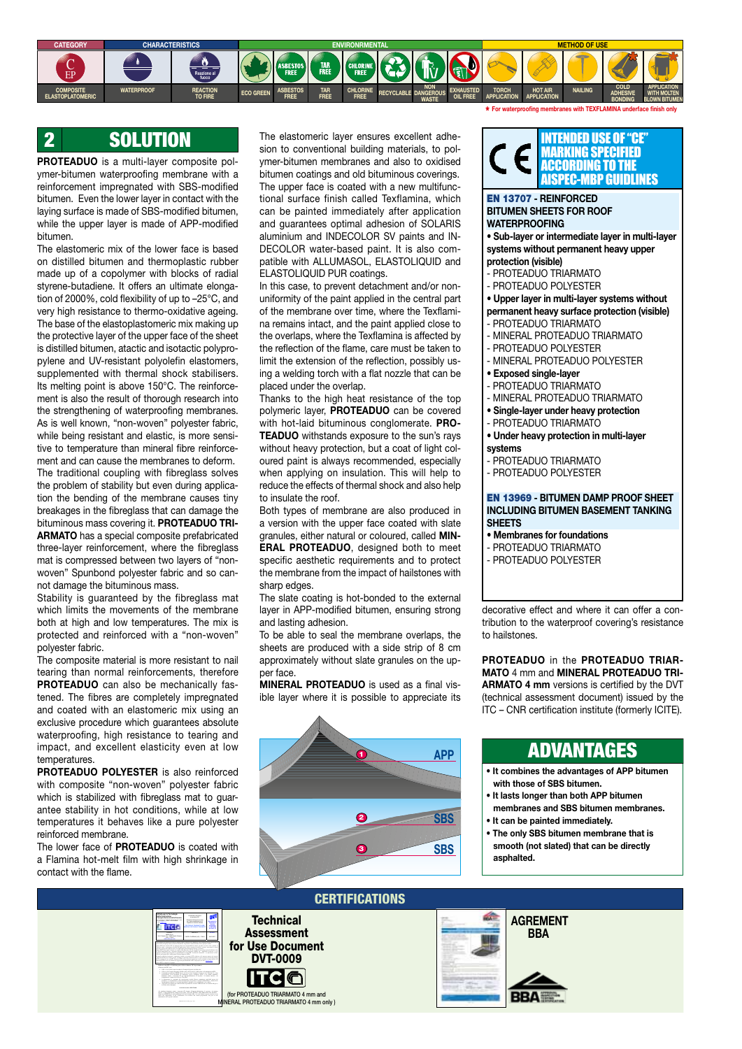

### 2 SOLUTION

**PROTEADUO** is a multi-layer composite polymer-bitumen waterproofing membrane with a reinforcement impregnated with SBS-modified bitumen. Even the lower layer in contact with the laying surface is made of SBS-modified bitumen, while the upper layer is made of APP-modified bitumen.

The elastomeric mix of the lower face is based on distilled bitumen and thermoplastic rubber made up of a copolymer with blocks of radial styrene-butadiene. It offers an ultimate elongation of 2000%, cold flexibility of up to –25°C, and very high resistance to thermo-oxidative ageing. The base of the elastoplastomeric mix making up the protective layer of the upper face of the sheet is distilled bitumen, atactic and isotactic polypropylene and UV-resistant polyolefin elastomers, supplemented with thermal shock stabilisers. Its melting point is above 150°C. The reinforcement is also the result of thorough research into the strengthening of waterproofing membranes. As is well known, "non-woven" polyester fabric, while being resistant and elastic, is more sensitive to temperature than mineral fibre reinforcement and can cause the membranes to deform. The traditional coupling with fibreglass solves the problem of stability but even during application the bending of the membrane causes tiny breakages in the fibreglass that can damage the bituminous mass covering it. **PROTEADUO TRI-ARMATO** has a special composite prefabricated three-layer reinforcement, where the fibreglass mat is compressed between two layers of "nonwoven" Spunbond polyester fabric and so cannot damage the bituminous mass.

Stability is guaranteed by the fibreglass mat which limits the movements of the membrane both at high and low temperatures. The mix is protected and reinforced with a "non-woven" polyester fabric.

The composite material is more resistant to nail tearing than normal reinforcements, therefore **PROTEADUO** can also be mechanically fastened. The fibres are completely impregnated and coated with an elastomeric mix using an exclusive procedure which guarantees absolute waterproofing, high resistance to tearing and impact, and excellent elasticity even at low temperatures.

**PROTEADUO POLYESTER** is also reinforced with composite "non-woven" polyester fabric which is stabilized with fibreglass mat to guarantee stability in hot conditions, while at low temperatures it behaves like a pure polyester reinforced membrane.

The lower face of **PROTEADUO** is coated with a Flamina hot-melt film with high shrinkage in contact with the flame.

The elastomeric layer ensures excellent adhesion to conventional building materials, to polymer-bitumen membranes and also to oxidised bitumen coatings and old bituminous coverings. The upper face is coated with a new multifunctional surface finish called Texflamina, which can be painted immediately after application and guarantees optimal adhesion of SOLARIS aluminium and INDECOLOR SV paints and IN-DECOLOR water-based paint. It is also compatible with ALLUMASOL, ELASTOLIQUID and ELASTOLIQUID PUR coatings.

In this case, to prevent detachment and/or nonuniformity of the paint applied in the central part of the membrane over time, where the Texflamina remains intact, and the paint applied close to the overlaps, where the Texflamina is affected by the reflection of the flame, care must be taken to limit the extension of the reflection, possibly using a welding torch with a flat nozzle that can be placed under the overlap.

Thanks to the high heat resistance of the top polymeric layer, **PROTEADUO** can be covered with hot-laid bituminous conglomerate. **PRO-TEADUO** withstands exposure to the sun's rays without heavy protection, but a coat of light coloured paint is always recommended, especially when applying on insulation. This will help to reduce the effects of thermal shock and also help to insulate the roof.

Both types of membrane are also produced in a version with the upper face coated with slate granules, either natural or coloured, called **MIN-ERAL PROTEADUO**, designed both to meet specific aesthetic requirements and to protect the membrane from the impact of hailstones with sharp edges.

The slate coating is hot-bonded to the external layer in APP-modified bitumen, ensuring strong and lasting adhesion.

To be able to seal the membrane overlaps, the sheets are produced with a side strip of 8 cm approximately without slate granules on the upper face.

**MINERAL PROTEADUO** is used as a final visible layer where it is possible to appreciate its



#### INTENDED USE OF "CE" MARKING SPECIFIED ACCORDING TO THE AISPEC-MBP GUIDLINES

\* **For waterproofi ng membranes with TEXFLAMINA underface fi nish only**

EN 13707 **- REINFORCED BITUMEN SHEETS FOR ROOF WATERPROOFING**

**• Sub-layer or intermediate layer in multi-layer systems without permanent heavy upper protection (visible)**

- PROTEADUO TRIARMATO
- PROTEADUO POLYESTER
- **Upper layer in multi-layer systems without permanent heavy surface protection (visible)**
- PROTEADUO TRIARMATO
- MINERAL PROTEADUO TRIARMATO
- PROTEADUO POLYESTER
- MINERAL PROTEADUO POLYESTER
- **• Exposed single-layer**
- PROTEADUO TRIARMATO
- MINERAL PROTEADUO TRIARMATO
- **Single-layer under heavy protection**
- PROTEADUO TRIARMATO

#### **• Under heavy protection in multi-layer**

- **systems**
- PROTEADUO TRIARMATO
- PROTEADUO POLYESTER

#### EN 13969 **- BITUMEN DAMP PROOF SHEET INCLUDING BITUMEN BASEMENT TANKING SHEETS**

- **• Membranes for foundations**
- PROTEADUO TRIARMATO
- PROTEADUO POLYESTER

decorative effect and where it can offer a contribution to the waterproof covering's resistance to hailstones.

**PROTEADUO** in the **PROTEADUO TRIAR-MATO** 4 mm and **MINERAL PROTEADUO TRI-ARMATO 4 mm** versions is certified by the DVT (technical assessment document) issued by the ITC – CNR certification institute (formerly ICITE).

### ADVANTAGES

- **It combines the advantages of APP bitumen with those of SBS bitumen.**
- **It lasts longer than both APP bitumen membranes and SBS bitumen membranes.**
- **It can be painted immediately.**

 **AGREMENT BBA**

**• The only SBS bitumen membrane that is smooth (not slated) that can be directly asphalted.**

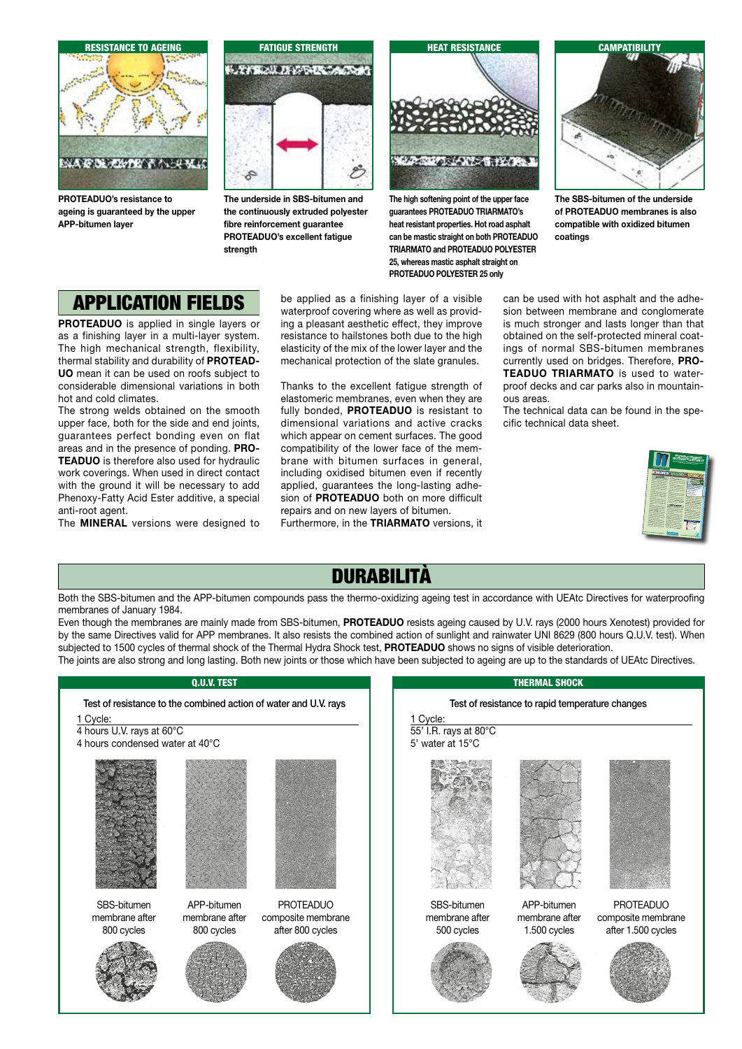

**PROTEADUO's resistance to ageing is guaranteed by the upper APP-bitumen layer**



**The underside in SBS-bitumen and the continuously extruded polyester fibre reinforcement guarantee PROTEADUO's excellent fatigue strength**



**The high softening point of the upper face guarantees PROTEADUO TRIARMATO's heat resistant properties. Hot road asphalt can be mastic straight on both PROTEADUO TRIARMATO and PROTEADUO POLYESTER 25, whereas mastic asphalt straight on PROTEADUO POLYESTER 25 only**



**The SBS-bitumen of the underside of PROTEADUO membranes is also compatible with oxidized bitumen coatings**

## APPLICATION FIELDS

**PROTEADUO** is applied in single layers or as a finishing layer in a multi-layer system. The high mechanical strength, flexibility, thermal stability and durability of **PROTEAD-UO** mean it can be used on roofs subject to considerable dimensional variations in both hot and cold climates.

The strong welds obtained on the smooth upper face, both for the side and end joints, guarantees perfect bonding even on flat areas and in the presence of ponding. **PRO-TEADUO** is therefore also used for hydraulic work coverings. When used in direct contact with the ground it will be necessary to add Phenoxy-Fatty Acid Ester additive, a special anti-root agent.

The **MINERAL** versions were designed to

be applied as a finishing layer of a visible waterproof covering where as well as providing a pleasant aesthetic effect, they improve resistance to hailstones both due to the high elasticity of the mix of the lower layer and the mechanical protection of the slate granules.

Thanks to the excellent fatigue strength of elastomeric membranes, even when they are fully bonded, **PROTEADUO** is resistant to dimensional variations and active cracks which appear on cement surfaces. The good compatibility of the lower face of the membrane with bitumen surfaces in general, including oxidised bitumen even if recently applied, guarantees the long-lasting adhesion of **PROTEADUO** both on more difficult repairs and on new layers of bitumen.

Furthermore, in the **TRIARMATO** versions, it

can be used with hot asphalt and the adhesion between membrane and conglomerate is much stronger and lasts longer than that obtained on the self-protected mineral coatings of normal SBS-bitumen membranes currently used on bridges. Therefore, **PRO-TEADUO TRIARMATO** is used to waterproof decks and car parks also in mountainous areas.

The technical data can be found in the specific technical data sheet.



### DURABILITÀ

Both the SBS-bitumen and the APP-bitumen compounds pass the thermo-oxidizing ageing test in accordance with UEAtc Directives for waterproofing membranes of January 1984.

Even though the membranes are mainly made from SBS-bitumen, **PROTEADUO** resists ageing caused by U.V. rays (2000 hours Xenotest) provided for by the same Directives valid for APP membranes. It also resists the combined action of sunlight and rainwater UNI 8629 (800 hours Q.U.V. test). When subjected to 1500 cycles of thermal shock of the Thermal Hydra Shock test, **PROTEADUO** shows no signs of visible deterioration.

The joints are also strong and long lasting. Both new joints or those which have been subjected to ageing are up to the standards of UEAtc Directives.